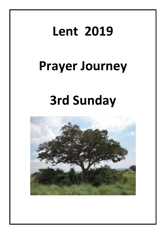## **Lent 2019**

## **Prayer Journey**

# **3rd Sunday**

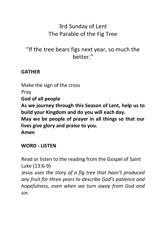### 3rd Sunday of Lent The Parable of the Fig Tree

### "If the tree bears figs next year, so much the hetter"

#### **GATHER**

Make the sign of the cross Pray **God of all people As we journey through this Season of Lent, help us to build your Kingdom and do you will each day. May we be people of prayer in all things so that our lives give glory and praise to you. Amen**

#### **WORD - LISTEN**

Read or listen to the reading from the Gospel of Saint Luke (13:6-9) *Jesus uses the story of a fig tree that hasn't produced any fruit for three years to describe God's patience and hopefulness, even when we turn away from God and sin.*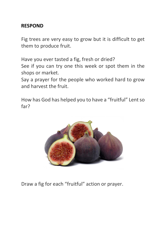#### **RESPOND**

Fig trees are very easy to grow but it is difficult to get them to produce fruit.

Have you ever tasted a fig, fresh or dried? See if you can try one this week or spot them in the shops or market.

Say a prayer for the people who worked hard to grow and harvest the fruit.

How has God has helped you to have a "fruitful" Lent so far?



Draw a fig for each "fruitful" action or prayer.